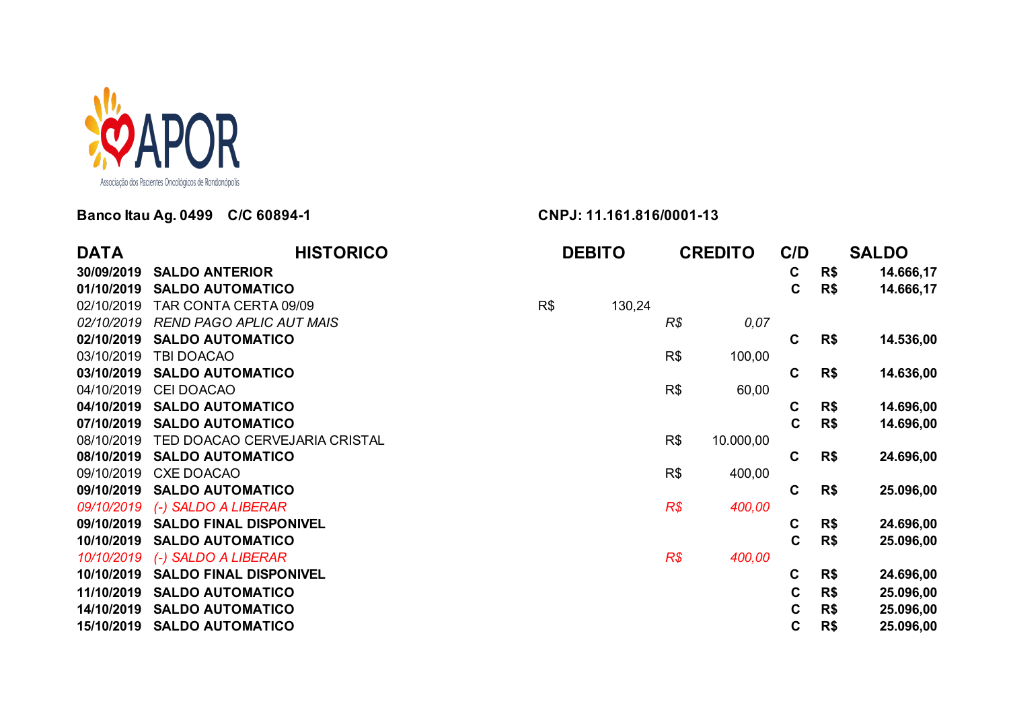

## **Banco Itau Ag. 0499 C/C 60894-1 CNPJ: 11.161.816/0001-13**

| <b>DATA</b> | <b>HISTORICO</b>                | <b>DEBITO</b> |        | <b>CREDITO</b> |           | C/D         |     | <b>SALDO</b> |
|-------------|---------------------------------|---------------|--------|----------------|-----------|-------------|-----|--------------|
| 30/09/2019  | <b>SALDO ANTERIOR</b>           |               |        |                |           | $\mathbf c$ | R\$ | 14.666,17    |
| 01/10/2019  | <b>SALDO AUTOMATICO</b>         |               |        |                |           | $\mathbf c$ | R\$ | 14.666,17    |
| 02/10/2019  | TAR CONTA CERTA 09/09           | R\$           | 130,24 |                |           |             |     |              |
| 02/10/2019  | <b>REND PAGO APLIC AUT MAIS</b> |               |        | R\$            | 0,07      |             |     |              |
| 02/10/2019  | <b>SALDO AUTOMATICO</b>         |               |        |                |           | C           | R\$ | 14.536,00    |
| 03/10/2019  | TBI DOACAO                      |               |        | R\$            | 100,00    |             |     |              |
| 03/10/2019  | <b>SALDO AUTOMATICO</b>         |               |        |                |           | $\mathbf c$ | R\$ | 14.636,00    |
| 04/10/2019  | <b>CEI DOACAO</b>               |               |        | R\$            | 60,00     |             |     |              |
| 04/10/2019  | <b>SALDO AUTOMATICO</b>         |               |        |                |           | C           | R\$ | 14.696,00    |
| 07/10/2019  | <b>SALDO AUTOMATICO</b>         |               |        |                |           | $\mathbf c$ | R\$ | 14.696,00    |
| 08/10/2019  | TED DOACAO CERVEJARIA CRISTAL   |               |        | R\$            | 10.000,00 |             |     |              |
| 08/10/2019  | <b>SALDO AUTOMATICO</b>         |               |        |                |           | $\mathbf c$ | R\$ | 24.696,00    |
| 09/10/2019  | <b>CXE DOACAO</b>               |               |        | R\$            | 400,00    |             |     |              |
| 09/10/2019  | <b>SALDO AUTOMATICO</b>         |               |        |                |           | $\mathbf C$ | R\$ | 25.096,00    |
| 09/10/2019  | (-) SALDO A LIBERAR             |               |        | R\$            | 400,00    |             |     |              |
| 09/10/2019  | <b>SALDO FINAL DISPONIVEL</b>   |               |        |                |           | C           | R\$ | 24.696,00    |
| 10/10/2019  | <b>SALDO AUTOMATICO</b>         |               |        |                |           | $\mathbf c$ | R\$ | 25.096,00    |
| 10/10/2019  | (-) SALDO A LIBERAR             |               |        | R\$            | 400,00    |             |     |              |
| 10/10/2019  | <b>SALDO FINAL DISPONIVEL</b>   |               |        |                |           | C           | R\$ | 24.696,00    |
| 11/10/2019  | <b>SALDO AUTOMATICO</b>         |               |        |                |           | $\mathbf c$ | R\$ | 25.096,00    |
| 14/10/2019  | <b>SALDO AUTOMATICO</b>         |               |        |                |           | $\mathbf c$ | R\$ | 25.096,00    |
| 15/10/2019  | <b>SALDO AUTOMATICO</b>         |               |        |                |           | $\mathbf c$ | R\$ | 25.096,00    |